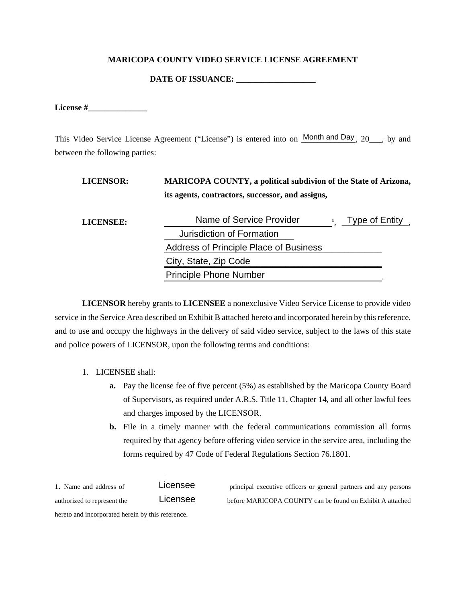#### **MARICOPA COUNTY VIDEO SERVICE LICENSE AGREEMENT**

**DATE OF ISSUANCE: \_\_\_\_\_\_\_\_\_\_\_\_\_\_\_\_\_\_\_** 

**License #\_\_\_\_\_\_\_\_\_\_\_\_\_\_** 

This Video Service License Agreement ("License") is entered into on Month and Day, 20 \_\_\_, by and between the following parties:

| <b>LICENSOR:</b> | <b>MARICOPA COUNTY, a political subdivion of the State of Arizona,</b><br>its agents, contractors, successor, and assigns, |  |                |
|------------------|----------------------------------------------------------------------------------------------------------------------------|--|----------------|
| LICENSEE:        | Name of Service Provider                                                                                                   |  | Type of Entity |
|                  | Jurisdiction of Formation                                                                                                  |  |                |
|                  | <b>Address of Principle Place of Business</b>                                                                              |  |                |
|                  | City, State, Zip Code                                                                                                      |  |                |
|                  | <b>Principle Phone Number</b>                                                                                              |  |                |

**LICENSOR** hereby grants to **LICENSEE** a nonexclusive Video Service License to provide video service in the Service Area described on Exhibit B attached hereto and incorporated herein by this reference, and to use and occupy the highways in the delivery of said video service, subject to the laws of this state and police powers of LICENSOR, upon the following terms and conditions:

- 1. LICENSEE shall:
	- **a.** Pay the license fee of five percent (5%) as established by the Maricopa County Board of Supervisors, as required under A.R.S. Title 11, Chapter 14, and all other lawful fees and charges imposed by the LICENSOR.
	- **b.** File in a timely manner with the federal communications commission all forms required by that agency before offering video service in the service area, including the forms required by 47 Code of Federal Regulations Section 76.1801.
- Licensee

 $\overline{a}$ 

Licensee

1. Name and address of NAME OF SERVICE PROVIDER principal executive officers or general partners and any persons authorized to represent the  $LICENSEB$  before MARICOPA COUNTY can be found on Exhibit A attached

hereto and incorporated herein by this reference.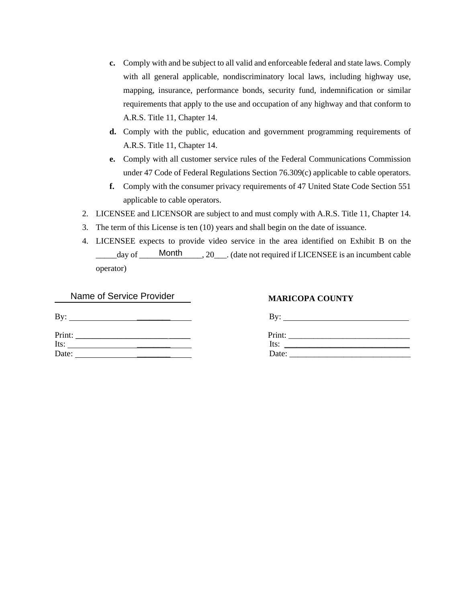- **c.** Comply with and be subject to all valid and enforceable federal and state laws. Comply with all general applicable, nondiscriminatory local laws, including highway use, mapping, insurance, performance bonds, security fund, indemnification or similar requirements that apply to the use and occupation of any highway and that conform to A.R.S. Title 11, Chapter 14.
- **d.** Comply with the public, education and government programming requirements of A.R.S. Title 11, Chapter 14.
- **e.** Comply with all customer service rules of the Federal Communications Commission under 47 Code of Federal Regulations Section 76.309(c) applicable to cable operators.
- **f.** Comply with the consumer privacy requirements of 47 United State Code Section 551 applicable to cable operators.
- 2. LICENSEE and LICENSOR are subject to and must comply with A.R.S. Title 11, Chapter 14.
- 3. The term of this License is ten (10) years and shall begin on the date of issuance.
- 4. LICENSEE expects to provide video service in the area identified on Exhibit B on the \_\_\_\_\_day of \_\_\_\_\_\_\_\_\_\_\_\_\_\_\_, 20\_\_\_. (date not required if LICENSEE is an incumbent cable Month operator)

| Name of Service Provider |  |
|--------------------------|--|
|--------------------------|--|

By:  $\qquad \qquad \qquad \qquad$ 

| Print: |  |  |  |  |
|--------|--|--|--|--|
| Its:   |  |  |  |  |
| Date:  |  |  |  |  |

### **MARICOPA COUNTY**

| By:                                                                                                                                                                                                                                           | By:    |
|-----------------------------------------------------------------------------------------------------------------------------------------------------------------------------------------------------------------------------------------------|--------|
| Print:                                                                                                                                                                                                                                        | Print: |
| Its:                                                                                                                                                                                                                                          | Its:   |
| Date:<br><u>and the contract of the contract of the contract of the contract of the contract of the contract of the contract of the contract of the contract of the contract of the contract of the contract of the contract of the contr</u> | Date:  |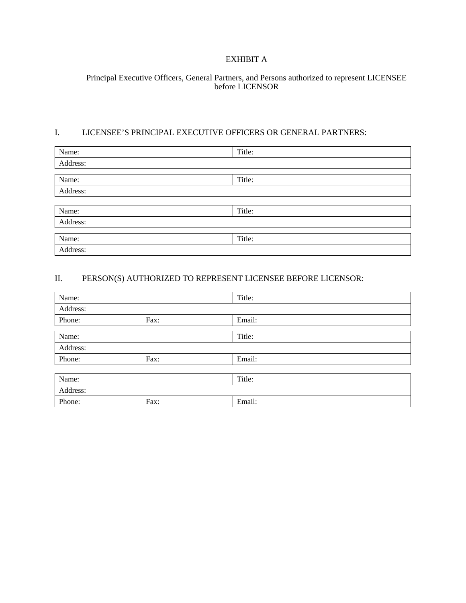## EXHIBIT A

#### Principal Executive Officers, General Partners, and Persons authorized to represent LICENSEE before LICENSOR

#### I. LICENSEE'S PRINCIPAL EXECUTIVE OFFICERS OR GENERAL PARTNERS:

| Name:    | Title: |
|----------|--------|
| Address: |        |
|          |        |
| Name:    | Title: |
| Address: |        |
|          |        |
| Name:    | Title: |
| Address: |        |
|          |        |
| Name:    | Title: |
| Address: |        |

# II. PERSON(S) AUTHORIZED TO REPRESENT LICENSEE BEFORE LICENSOR:

| Name:    |      | Title: |
|----------|------|--------|
| Address: |      |        |
| Phone:   | Fax: | Email: |
|          |      |        |
| Name:    |      | Title: |
| Address: |      |        |
| Phone:   | Fax: | Email: |
|          |      |        |
| Name:    |      | Title: |
| Address: |      |        |
| Phone:   | Fax: | Email: |